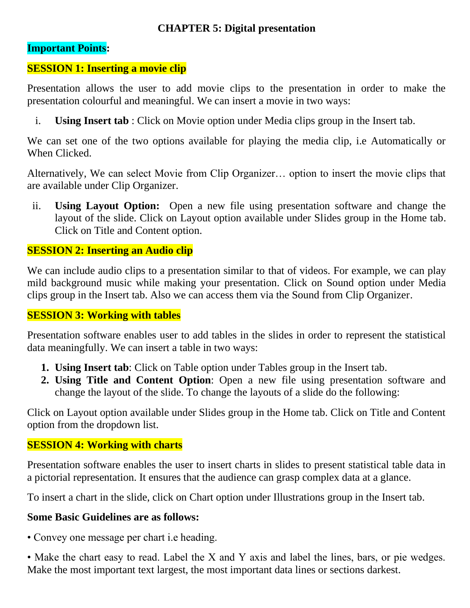### **CHAPTER 5: Digital presentation**

#### **Important Points:**

#### **SESSION 1: Inserting a movie clip**

Presentation allows the user to add movie clips to the presentation in order to make the presentation colourful and meaningful. We can insert a movie in two ways:

i. **Using Insert tab** : Click on Movie option under Media clips group in the Insert tab.

We can set one of the two options available for playing the media clip, i.e Automatically or When Clicked.

Alternatively, We can select Movie from Clip Organizer… option to insert the movie clips that are available under Clip Organizer.

ii. **Using Layout Option:** Open a new file using presentation software and change the layout of the slide. Click on Layout option available under Slides group in the Home tab. Click on Title and Content option.

#### **SESSION 2: Inserting an Audio clip**

We can include audio clips to a presentation similar to that of videos. For example, we can play mild background music while making your presentation. Click on Sound option under Media clips group in the Insert tab. Also we can access them via the Sound from Clip Organizer.

#### **SESSION 3: Working with tables**

Presentation software enables user to add tables in the slides in order to represent the statistical data meaningfully. We can insert a table in two ways:

- **1. Using Insert tab**: Click on Table option under Tables group in the Insert tab.
- **2. Using Title and Content Option**: Open a new file using presentation software and change the layout of the slide. To change the layouts of a slide do the following:

Click on Layout option available under Slides group in the Home tab. Click on Title and Content option from the dropdown list.

#### **SESSION 4: Working with charts**

Presentation software enables the user to insert charts in slides to present statistical table data in a pictorial representation. It ensures that the audience can grasp complex data at a glance.

To insert a chart in the slide, click on Chart option under Illustrations group in the Insert tab.

#### **Some Basic Guidelines are as follows:**

• Convey one message per chart i.e heading.

• Make the chart easy to read. Label the X and Y axis and label the lines, bars, or pie wedges. Make the most important text largest, the most important data lines or sections darkest.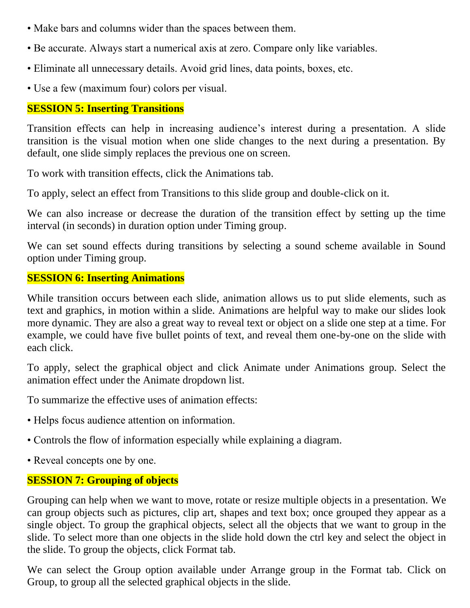- Make bars and columns wider than the spaces between them.
- Be accurate. Always start a numerical axis at zero. Compare only like variables.
- Eliminate all unnecessary details. Avoid grid lines, data points, boxes, etc.
- Use a few (maximum four) colors per visual.

## **SESSION 5: Inserting Transitions**

Transition effects can help in increasing audience's interest during a presentation. A slide transition is the visual motion when one slide changes to the next during a presentation. By default, one slide simply replaces the previous one on screen.

To work with transition effects, click the Animations tab.

To apply, select an effect from Transitions to this slide group and double-click on it.

We can also increase or decrease the duration of the transition effect by setting up the time interval (in seconds) in duration option under Timing group.

We can set sound effects during transitions by selecting a sound scheme available in Sound option under Timing group.

### **SESSION 6: Inserting Animations**

While transition occurs between each slide, animation allows us to put slide elements, such as text and graphics, in motion within a slide. Animations are helpful way to make our slides look more dynamic. They are also a great way to reveal text or object on a slide one step at a time. For example, we could have five bullet points of text, and reveal them one-by-one on the slide with each click.

To apply, select the graphical object and click Animate under Animations group. Select the animation effect under the Animate dropdown list.

To summarize the effective uses of animation effects:

- Helps focus audience attention on information.
- Controls the flow of information especially while explaining a diagram.
- Reveal concepts one by one.

## **SESSION 7: Grouping of objects**

Grouping can help when we want to move, rotate or resize multiple objects in a presentation. We can group objects such as pictures, clip art, shapes and text box; once grouped they appear as a single object. To group the graphical objects, select all the objects that we want to group in the slide. To select more than one objects in the slide hold down the ctrl key and select the object in the slide. To group the objects, click Format tab.

We can select the Group option available under Arrange group in the Format tab. Click on Group, to group all the selected graphical objects in the slide.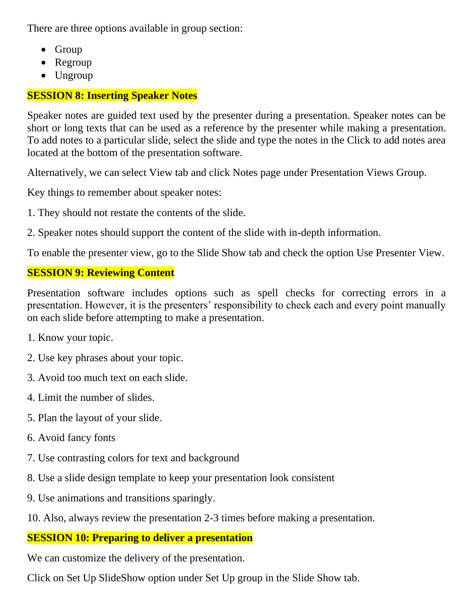There are three options available in group section:

- Group
- Regroup
- Ungroup

## **SESSION 8: Inserting Speaker Notes**

Speaker notes are guided text used by the presenter during a presentation. Speaker notes can be short or long texts that can be used as a reference by the presenter while making a presentation. To add notes to a particular slide, select the slide and type the notes in the Click to add notes area located at the bottom of the presentation software.

Alternatively, we can select View tab and click Notes page under Presentation Views Group.

Key things to remember about speaker notes:

- 1. They should not restate the contents of the slide.
- 2. Speaker notes should support the content of the slide with in-depth information.

To enable the presenter view, go to the Slide Show tab and check the option Use Presenter View.

## **SESSION 9: Reviewing Content**

Presentation software includes options such as spell checks for correcting errors in a presentation. However, it is the presenters' responsibility to check each and every point manually on each slide before attempting to make a presentation.

- 1. Know your topic.
- 2. Use key phrases about your topic.
- 3. Avoid too much text on each slide.
- 4. Limit the number of slides.
- 5. Plan the layout of your slide.
- 6. Avoid fancy fonts
- 7. Use contrasting colors for text and background
- 8. Use a slide design template to keep your presentation look consistent
- 9. Use animations and transitions sparingly.
- 10. Also, always review the presentation 2-3 times before making a presentation.

# **SESSION 10: Preparing to deliver a presentation**

We can customize the delivery of the presentation.

Click on Set Up SlideShow option under Set Up group in the Slide Show tab.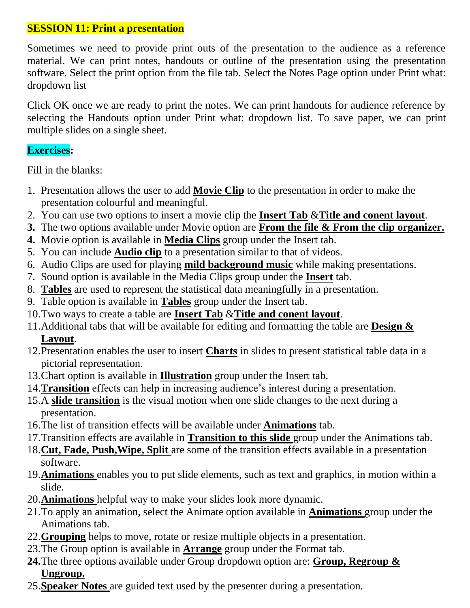### **SESSION 11: Print a presentation**

Sometimes we need to provide print outs of the presentation to the audience as a reference material. We can print notes, handouts or outline of the presentation using the presentation software. Select the print option from the file tab. Select the Notes Page option under Print what: dropdown list

Click OK once we are ready to print the notes. We can print handouts for audience reference by selecting the Handouts option under Print what: dropdown list. To save paper, we can print multiple slides on a single sheet.

#### **Exercises:**

Fill in the blanks:

- 1. Presentation allows the user to add **Movie Clip** to the presentation in order to make the presentation colourful and meaningful.
- 2. You can use two options to insert a movie clip the **Insert Tab** &**Title and conent layout**.
- **3.** The two options available under Movie option are **From the file & From the clip organizer.**
- **4.** Movie option is available in **Media Clips** group under the Insert tab.
- 5. You can include **Audio clip** to a presentation similar to that of videos.
- 6. Audio Clips are used for playing **mild background music** while making presentations.
- 7. Sound option is available in the Media Clips group under the **Insert** tab.
- 8. **Tables** are used to represent the statistical data meaningfully in a presentation.
- 9. Table option is available in **Tables** group under the Insert tab.
- 10.Two ways to create a table are **Insert Tab** &**Title and conent layout**.
- 11.Additional tabs that will be available for editing and formatting the table are **Design & Layout**.
- 12.Presentation enables the user to insert **Charts** in slides to present statistical table data in a pictorial representation.
- 13.Chart option is available in **Illustration** group under the Insert tab.
- 14.**Transition** effects can help in increasing audience's interest during a presentation.
- 15.A **slide transition** is the visual motion when one slide changes to the next during a presentation.
- 16.The list of transition effects will be available under **Animations** tab.
- 17.Transition effects are available in **Transition to this slide** group under the Animations tab.
- 18.**Cut, Fade, Push,Wipe, Split** are some of the transition effects available in a presentation software.
- 19.**Animations** enables you to put slide elements, such as text and graphics, in motion within a slide.
- 20.**Animations** helpful way to make your slides look more dynamic.
- 21.To apply an animation, select the Animate option available in **Animations** group under the Animations tab.
- 22.**Grouping** helps to move, rotate or resize multiple objects in a presentation.
- 23.The Group option is available in **Arrange** group under the Format tab.
- **24.**The three options available under Group dropdown option are: **Group, Regroup & Ungroup.**
- 25.**Speaker Notes** are guided text used by the presenter during a presentation.